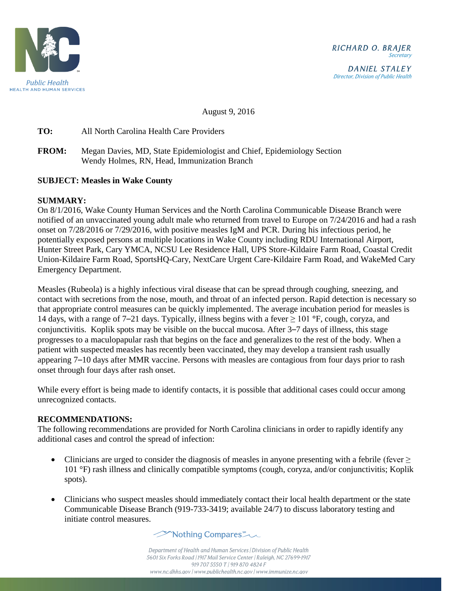

DANIEL STALEY Director, Division of Public Health

August 9, 2016

**TO:** All North Carolina Health Care Providers

**FROM:** Megan Davies, MD, State Epidemiologist and Chief, Epidemiology Section Wendy Holmes, RN, Head, Immunization Branch

## **SUBJECT: Measles in Wake County**

## **SUMMARY:**

On 8/1/2016, Wake County Human Services and the North Carolina Communicable Disease Branch were notified of an unvaccinated young adult male who returned from travel to Europe on 7/24/2016 and had a rash onset on 7/28/2016 or 7/29/2016, with positive measles IgM and PCR. During his infectious period, he potentially exposed persons at multiple locations in Wake County including RDU International Airport, Hunter Street Park, Cary YMCA, NCSU Lee Residence Hall, UPS Store-Kildaire Farm Road, Coastal Credit Union-Kildaire Farm Road, SportsHQ-Cary, NextCare Urgent Care-Kildaire Farm Road, and WakeMed Cary Emergency Department.

Measles (Rubeola) is a highly infectious viral disease that can be spread through coughing, sneezing, and contact with secretions from the nose, mouth, and throat of an infected person. Rapid detection is necessary so that appropriate control measures can be quickly implemented. The average incubation period for measles is 14 days, with a range of 7–21 days. Typically, illness begins with a fever ≥ 101 **°**F, cough, coryza, and conjunctivitis. Koplik spots may be visible on the buccal mucosa. After 3–7 days of illness, this stage progresses to a maculopapular rash that begins on the face and generalizes to the rest of the body. When a patient with suspected measles has recently been vaccinated, they may develop a transient rash usually appearing 7–10 days after MMR vaccine. Persons with measles are contagious from four days prior to rash onset through four days after rash onset.

While every effort is being made to identify contacts, it is possible that additional cases could occur among unrecognized contacts.

## **RECOMMENDATIONS:**

The following recommendations are provided for North Carolina clinicians in order to rapidly identify any additional cases and control the spread of infection:

- Clinicians are urged to consider the diagnosis of measles in anyone presenting with a febrile (fever  $\geq$ 101 °F) rash illness and clinically compatible symptoms (cough, coryza, and/or conjunctivitis; Koplik spots).
- Clinicians who suspect measles should immediately contact their local health department or the state Communicable Disease Branch (919-733-3419; available 24/7) to discuss laboratory testing and initiate control measures.



Department of Health and Human Services | Division of Public Health 5601 Six Forks Road | 1917 Mail Service Center | Raleigh, NC 27699-1917 919 707 5550 T | 919 870 4824 F www.nc.dhhs.gov / www.publichealth.nc.gov / www.immunize.nc.gov